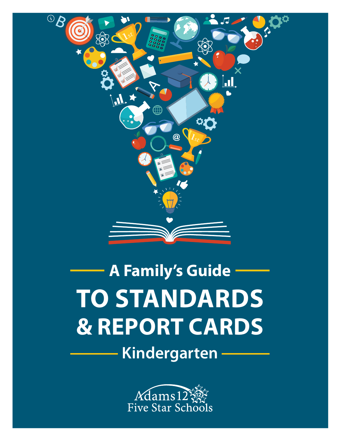

# **A Family's Guide TO STANDARDS & REPORT CARDS Kindergarten**

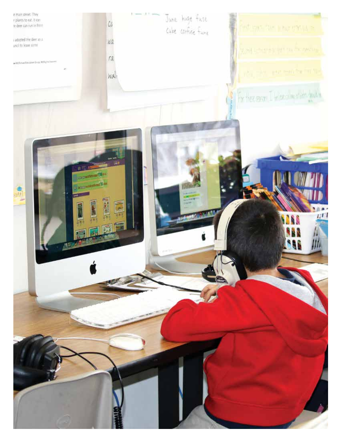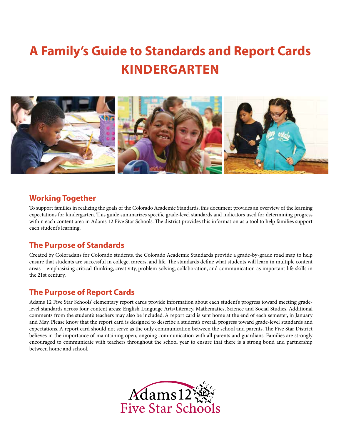# **A Family's Guide to Standards and Report Cards KINDERGARTEN**



#### **Working Together**

To support families in realizing the goals of the Colorado Academic Standards, this document provides an overview of the learning expectations for kindergarten. This guide summarizes specific grade-level standards and indicators used for determining progress within each content area in Adams 12 Five Star Schools. The district provides this information as a tool to help families support each student's learning.

#### **The Purpose of Standards**

Created by Coloradans for Colorado students, the Colorado Academic Standards provide a grade-by-grade road map to help ensure that students are successful in college, careers, and life. The standards define what students will learn in multiple content areas – emphasizing critical-thinking, creativity, problem solving, collaboration, and communication as important life skills in the 21st century.

#### **The Purpose of Report Cards**

Adams 12 Five Star Schools' elementary report cards provide information about each student's progress toward meeting gradelevel standards across four content areas: English Language Arts/Literacy, Mathematics, Science and Social Studies. Additional comments from the student's teachers may also be included. A report card is sent home at the end of each semester, in January and May. Please know that the report card is designed to describe a student's overall progress toward grade-level standards and expectations. A report card should not serve as the only communication between the school and parents. The Five Star District believes in the importance of maintaining open, ongoing communication with all parents and guardians. Families are strongly encouraged to communicate with teachers throughout the school year to ensure that there is a strong bond and partnership between home and school.

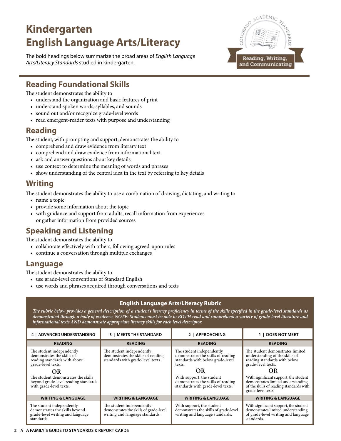# **Kindergarten English Language Arts/Literacy**

The bold headings below summarize the broad areas of *English Language Arts/Literacy Standards* studied in kindergarten.



#### **Reading Foundational Skills**

The student demonstrates the ability to

- understand the organization and basic features of print
- understand spoken words, syllables, and sounds
- sound out and/or recognize grade-level words
- read emergent-reader texts with purpose and understanding

#### **Reading**

The student, with prompting and support, demonstrates the ability to

- comprehend and draw evidence from literary text
- comprehend and draw evidence from informational text
- ask and answer questions about key details
- use context to determine the meaning of words and phrases
- show understanding of the central idea in the text by referring to key details

#### **Writing**

The student demonstrates the ability to use a combination of drawing, dictating, and writing to

- name a topic
- provide some information about the topic
- with guidance and support from adults, recall information from experiences or gather information from provided sources

#### **Speaking and Listening**

The student demonstrates the ability to

- collaborate effectively with others, following agreed-upon rules
- continue a conversation through multiple exchanges

#### **Language**

The student demonstrates the ability to

- use grade-level conventions of Standard English
- use words and phrases acquired through conversations and texts

#### **English Language Arts/Literacy Rubric**

*The rubric below provides a general description of a student's literacy proficiency in terms of the skills specified in the grade-level standards as demonstrated through a body of evidence. NOTE: Students must be able to BOTH read and comprehend a variety of grade-level literature and informational texts AND demonstrate appropriate literacy skills for each level descriptor.*

| 4   ADVANCED UNDERSTANDING                                                                                    | <b>MEETS THE STANDARD</b><br>3 I                                                                       | 2   APPROACHING                                                                                               | <b>DOES NOT MEET</b>                                                                                                                         |
|---------------------------------------------------------------------------------------------------------------|--------------------------------------------------------------------------------------------------------|---------------------------------------------------------------------------------------------------------------|----------------------------------------------------------------------------------------------------------------------------------------------|
| <b>READING</b>                                                                                                | <b>READING</b>                                                                                         | <b>READING</b>                                                                                                | <b>READING</b>                                                                                                                               |
| The student independently<br>demonstrates the skills of<br>reading standards with above<br>grade-level texts. | The student independently<br>demonstrates the skills of reading<br>standards with grade-level texts.   | The student independently<br>demonstrates the skills of reading<br>standards with below grade-level<br>texts. | The student demonstrates limited<br>understanding of the skills of<br>reading standards with below<br>grade-level texts.                     |
|                                                                                                               |                                                                                                        | OR                                                                                                            | OR                                                                                                                                           |
| The student demonstrates the skills<br>beyond grade-level reading standards<br>with grade-level texts.        |                                                                                                        | With support, the student<br>demonstrates the skills of reading<br>standards with grade-level texts.          | With significant support, the student<br>demonstrates limited understanding<br>of the skills of reading standards with<br>grade-level texts. |
| <b>WRITING &amp; LANGUAGE</b>                                                                                 | <b>WRITING &amp; LANGUAGE</b>                                                                          | <b>WRITING &amp; LANGUAGE</b>                                                                                 | <b>WRITING &amp; LANGUAGE</b>                                                                                                                |
| The student independently<br>demonstrates the skills beyond<br>grade-level writing and language<br>standards. | The student independently<br>demonstrates the skills of grade-level<br>writing and language standards. | With support, the student<br>demonstrates the skills of grade-level<br>writing and language standards.        | With significant support, the student<br>demonstrates limited understanding<br>of grade-level writing and language<br>standards.             |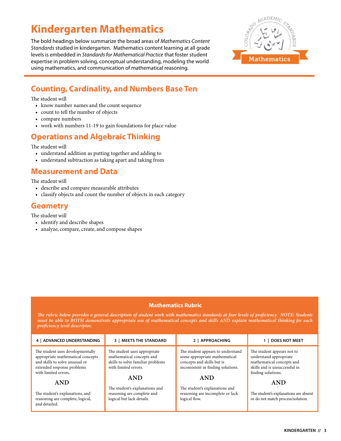## **Kindergarten Mathematics**

The bold headings below summarize the broad areas of *Mathematics Content Standards* studied in kindergarten. Mathematics content learning at all grade levels is embedded in *Standards for Mathematical Practice* that foster student expertise in problem solving, conceptual understanding, modeling the world using mathematics, and communication of mathematical reasoning.



#### **Counting, Cardinality, and Numbers Base Ten**

The student will

- know number names and the count sequence
- count to tell the number of objects
- compare numbers
- work with numbers 11-19 to gain foundations for place value

#### **Operations and Algebraic Thinking**

The student will

- understand addition as putting together and adding to
- understand subtraction as taking apart and taking from

#### **Measurement and Data**

The student will

- describe and compare measurable attributes
- classify objects and count the number of objects in each category

#### **Geometry**

The student will

- identify and describe shapes
- analyze, compare, create, and compose shapes

#### **Mathematics Rubric**

*The rubric below provides a general description of student work with mathematics standards at four levels of proficiency. NOTE: Students must be able to BOTH demonstrate appropriate use of mathematical concepts and skills AND explain mathematical thinking for each proficiency level descriptor.*

| 4   ADVANCED UNDERSTANDING                                                                                                                                                  | 3   MEETS THE STANDARD                                                                                                               | 2   APPROACHING                                                                                                                                      | <b>DOES NOT MEET</b>                                                                                                                                   |
|-----------------------------------------------------------------------------------------------------------------------------------------------------------------------------|--------------------------------------------------------------------------------------------------------------------------------------|------------------------------------------------------------------------------------------------------------------------------------------------------|--------------------------------------------------------------------------------------------------------------------------------------------------------|
| The student uses developmentally<br>appropriate mathematical concepts<br>and skills to solve unusual or<br>extended response problems<br>with limited errors.<br><b>AND</b> | The student uses appropriate<br>mathematical concepts and<br>skills to solve familiar problems<br>with limited errors.<br><b>AND</b> | The student appears to understand<br>some appropriate mathematical<br>concepts and skills but is<br>inconsistent in finding solutions.<br><b>AND</b> | The student appears not to<br>understand appropriate<br>mathematical concepts and<br>skills and is unsuccessful in<br>finding solutions.<br><b>AND</b> |
| The student's explanations, and<br>reasoning are complete, logical,<br>and detailed.                                                                                        | The student's explanations and<br>reasoning are complete and<br>logical but lack details.                                            | The student's explanations and<br>reasoning are incomplete or lack<br>logical flow.                                                                  | The student's explanations are absent<br>or do not match process/solution.                                                                             |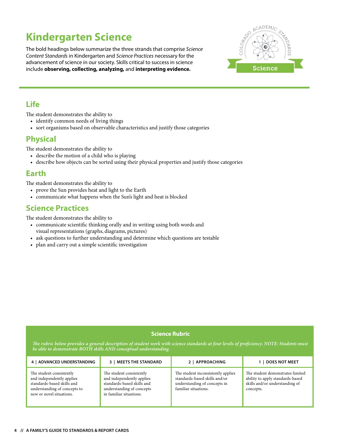# **Kindergarten Science**

The bold headings below summarize the three strands that comprise *Science Content Standards* in Kindergarten and *Science Practices* necessary for the advancement of science in our society. Skills critical to success in science include **observing, collecting, analyzing,** and **interpreting evidence.**



#### **Life**

The student demonstrates the ability to

- identify common needs of living things
- sort organisms based on observable characteristics and justify those categories

#### **Physical**

The student demonstrates the ability to

- describe the motion of a child who is playing
- describe how objects can be sorted using their physical properties and justify those categories

#### **Earth**

The student demonstrates the ability to

- prove the Sun provides heat and light to the Earth
- communicate what happens when the Sun's light and heat is blocked

#### **Science Practices**

The student demonstrates the ability to

- communicate scientific thinking orally and in writing using both words and visual representations (graphs, diagrams, pictures)
- ask questions to further understanding and determine which questions are testable
- plan and carry out a simple scientific investigation

#### **Science Rubric**

*The rubric below provides a general description of student work with science standards at four levels of proficiency. NOTE: Students must be able to demonstrate BOTH skills AND conceptual understanding.*

| 4   ADVANCED UNDERSTANDING                                                                                                                      | 3   MEETS THE STANDARD                                                                                                                      | 2   APPROACHING                                                                                                             | 1   DOES NOT MEET                                                                                                   |
|-------------------------------------------------------------------------------------------------------------------------------------------------|---------------------------------------------------------------------------------------------------------------------------------------------|-----------------------------------------------------------------------------------------------------------------------------|---------------------------------------------------------------------------------------------------------------------|
| The student consistently<br>and independently applies<br>standards-based skills and<br>understanding of concepts to<br>new or novel situations. | The student consistently<br>and independently applies<br>standards-based skills and<br>understanding of concepts<br>in familiar situations. | The student inconsistently applies<br>standards-based skills and/or<br>understanding of concepts in<br>familiar situations. | The student demonstrates limited<br>ability to apply standards-based<br>skills and/or understanding of<br>concepts. |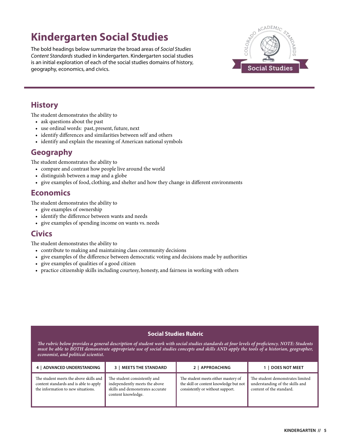### **Kindergarten Social Studies**

The bold headings below summarize the broad areas of *Social Studies Content Standards* studied in kindergarten. Kindergarten social studies is an initial exploration of each of the social studies domains of history, geography, economics, and civics.



#### **History**

The student demonstrates the ability to

- ask questions about the past
- use ordinal words: past, present, future, next
- identify differences and similarities between self and others
- identify and explain the meaning of American national symbols

#### **Geography**

The student demonstrates the ability to

- compare and contrast how people live around the world
- distinguish between a map and a globe
- give examples of food, clothing, and shelter and how they change in different environments

#### **Economics**

The student demonstrates the ability to

- give examples of ownership
- identify the difference between wants and needs
- give examples of spending income on wants vs. needs

#### **Civics**

The student demonstrates the ability to

- contribute to making and maintaining class community decisions
- give examples of the difference between democratic voting and decisions made by authorities
- give examples of qualities of a good citizen
- practice citizenship skills including courtesy, honesty, and fairness in working with others

#### **Social Studies Rubric**

*The rubric below provides a general description of student work with social studies standards at four levels of proficiency. NOTE: Students must be able to BOTH demonstrate appropriate use of social studies concepts and skills AND apply the tools of a historian, geographer, economist, and political scientist.*

| 4   ADVANCED UNDERSTANDING                                                                                             | 3   MEETS THE STANDARD                                                                                                  | 2   APPROACHING                                                                                                   | <b>DOES NOT MEET</b>                                                                            |
|------------------------------------------------------------------------------------------------------------------------|-------------------------------------------------------------------------------------------------------------------------|-------------------------------------------------------------------------------------------------------------------|-------------------------------------------------------------------------------------------------|
| The student meets the above skills and<br>content standards and is able to apply<br>the information to new situations. | The student consistently and<br>independently meets the above<br>skills and demonstrates accurate<br>content knowledge. | The student meets either mastery of<br>the skill or content knowledge but not<br>consistently or without support. | The student demonstrates limited<br>understanding of the skills and<br>content of the standard. |